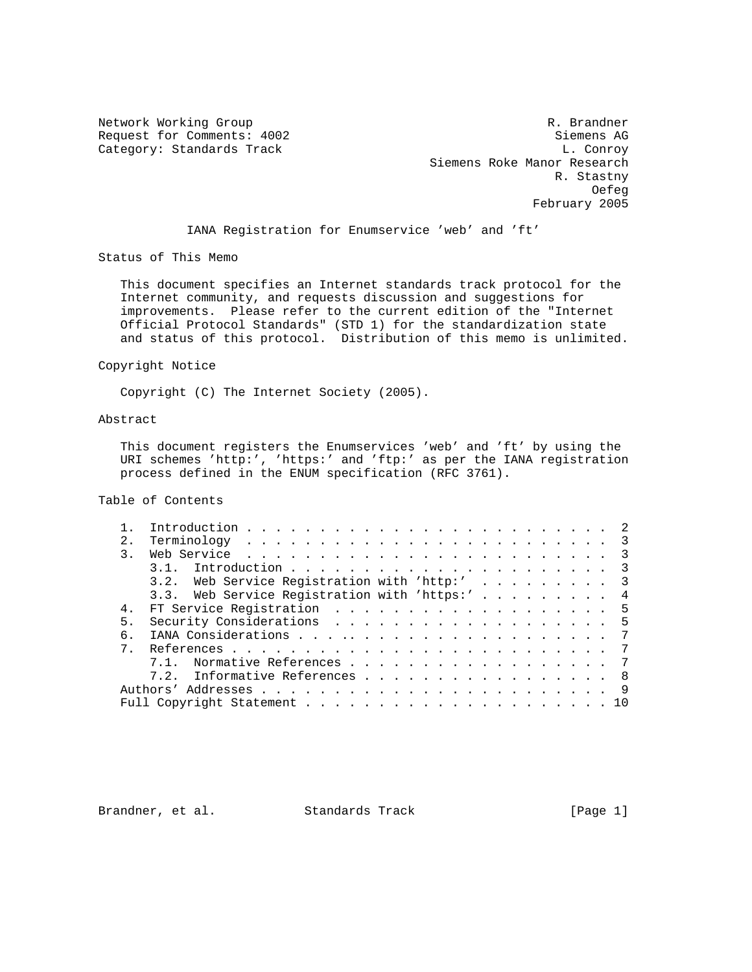Network Working Group and the set of the set of the set of the R. Brandner Request for Comments: 4002 Siemens AG Category: Standards Track L. Conroy Category: Standards Track Siemens Roke Manor Research R. Stastny of the contract of the contract of the contract of the contract of the contract of the contract of the contract of the contract of the contract of the contract of the contract of the contract of the contract of the contrac February 2005

IANA Registration for Enumservice 'web' and 'ft'

Status of This Memo

 This document specifies an Internet standards track protocol for the Internet community, and requests discussion and suggestions for improvements. Please refer to the current edition of the "Internet Official Protocol Standards" (STD 1) for the standardization state and status of this protocol. Distribution of this memo is unlimited.

## Copyright Notice

Copyright (C) The Internet Society (2005).

## Abstract

 This document registers the Enumservices 'web' and 'ft' by using the URI schemes 'http:', 'https:' and 'ftp:' as per the IANA registration process defined in the ENUM specification (RFC 3761).

Table of Contents

| 2.1            |                                               |    |
|----------------|-----------------------------------------------|----|
|                | $\overline{3}$                                |    |
|                | $\overline{\mathbf{3}}$                       |    |
|                | 3.2. Web Service Registration with 'http:' 3  |    |
|                | 3.3. Web Service Registration with 'https:' 4 |    |
| 4 <sub>1</sub> | FT Service Registration 5                     |    |
| 5.             | Security Considerations 5                     |    |
| б.             |                                               |    |
|                |                                               |    |
|                | Normative References 7<br>71                  |    |
|                | 7.2. Informative References 8                 |    |
|                |                                               | -9 |
|                |                                               |    |

Brandner, et al. Standards Track [Page 1]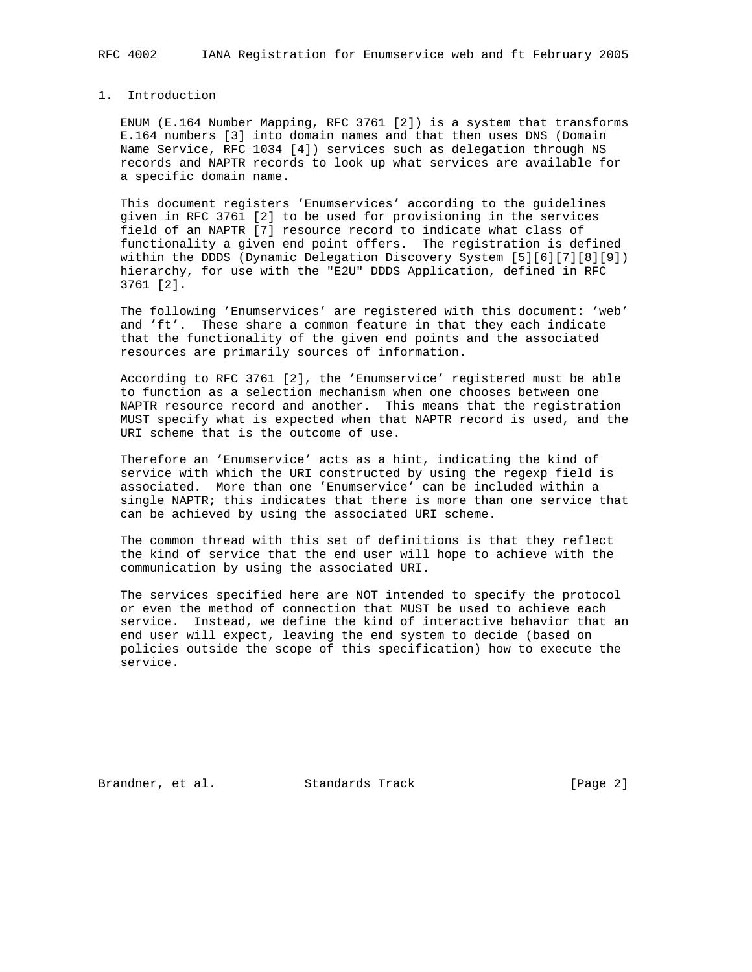## 1. Introduction

 ENUM (E.164 Number Mapping, RFC 3761 [2]) is a system that transforms E.164 numbers [3] into domain names and that then uses DNS (Domain Name Service, RFC 1034 [4]) services such as delegation through NS records and NAPTR records to look up what services are available for a specific domain name.

 This document registers 'Enumservices' according to the guidelines given in RFC 3761 [2] to be used for provisioning in the services field of an NAPTR [7] resource record to indicate what class of functionality a given end point offers. The registration is defined within the DDDS (Dynamic Delegation Discovery System [5][6][7][8][9]) hierarchy, for use with the "E2U" DDDS Application, defined in RFC 3761 [2].

 The following 'Enumservices' are registered with this document: 'web' and 'ft'. These share a common feature in that they each indicate that the functionality of the given end points and the associated resources are primarily sources of information.

 According to RFC 3761 [2], the 'Enumservice' registered must be able to function as a selection mechanism when one chooses between one NAPTR resource record and another. This means that the registration MUST specify what is expected when that NAPTR record is used, and the URI scheme that is the outcome of use.

 Therefore an 'Enumservice' acts as a hint, indicating the kind of service with which the URI constructed by using the regexp field is associated. More than one 'Enumservice' can be included within a single NAPTR; this indicates that there is more than one service that can be achieved by using the associated URI scheme.

 The common thread with this set of definitions is that they reflect the kind of service that the end user will hope to achieve with the communication by using the associated URI.

 The services specified here are NOT intended to specify the protocol or even the method of connection that MUST be used to achieve each service. Instead, we define the kind of interactive behavior that an end user will expect, leaving the end system to decide (based on policies outside the scope of this specification) how to execute the service.

Brandner, et al. Standards Track [Page 2]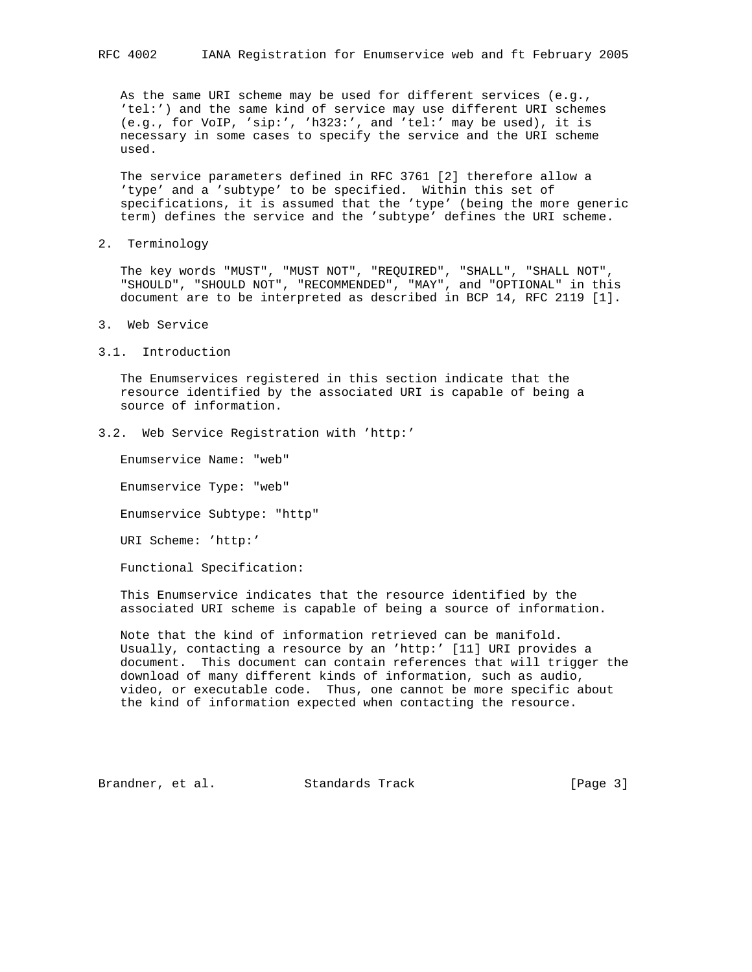As the same URI scheme may be used for different services (e.g., 'tel:') and the same kind of service may use different URI schemes (e.g., for VoIP, 'sip:', 'h323:', and 'tel:' may be used), it is necessary in some cases to specify the service and the URI scheme used.

 The service parameters defined in RFC 3761 [2] therefore allow a 'type' and a 'subtype' to be specified. Within this set of specifications, it is assumed that the 'type' (being the more generic term) defines the service and the 'subtype' defines the URI scheme.

2. Terminology

 The key words "MUST", "MUST NOT", "REQUIRED", "SHALL", "SHALL NOT", "SHOULD", "SHOULD NOT", "RECOMMENDED", "MAY", and "OPTIONAL" in this document are to be interpreted as described in BCP 14, RFC 2119 [1].

- 3. Web Service
- 3.1. Introduction

 The Enumservices registered in this section indicate that the resource identified by the associated URI is capable of being a source of information.

3.2. Web Service Registration with 'http:'

Enumservice Name: "web"

Enumservice Type: "web"

Enumservice Subtype: "http"

URI Scheme: 'http:'

Functional Specification:

 This Enumservice indicates that the resource identified by the associated URI scheme is capable of being a source of information.

 Note that the kind of information retrieved can be manifold. Usually, contacting a resource by an 'http:' [11] URI provides a document. This document can contain references that will trigger the download of many different kinds of information, such as audio, video, or executable code. Thus, one cannot be more specific about the kind of information expected when contacting the resource.

Brandner, et al. Standards Track [Page 3]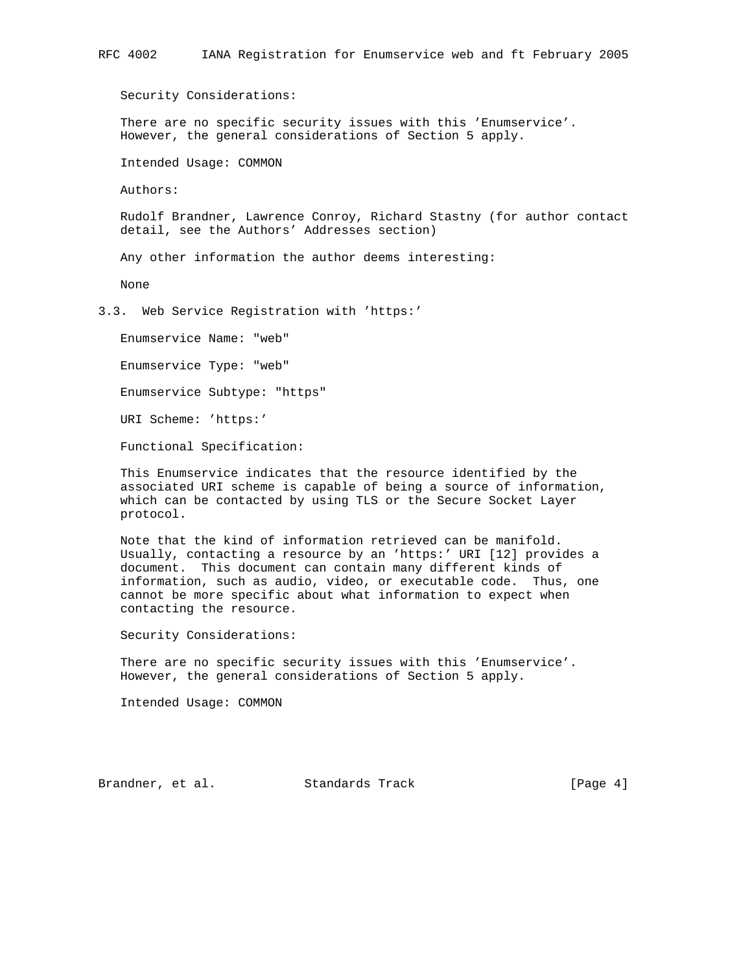Security Considerations:

 There are no specific security issues with this 'Enumservice'. However, the general considerations of Section 5 apply.

Intended Usage: COMMON

Authors:

 Rudolf Brandner, Lawrence Conroy, Richard Stastny (for author contact detail, see the Authors' Addresses section)

Any other information the author deems interesting:

None

3.3. Web Service Registration with 'https:'

Enumservice Name: "web"

Enumservice Type: "web"

Enumservice Subtype: "https"

URI Scheme: 'https:'

Functional Specification:

 This Enumservice indicates that the resource identified by the associated URI scheme is capable of being a source of information, which can be contacted by using TLS or the Secure Socket Layer protocol.

 Note that the kind of information retrieved can be manifold. Usually, contacting a resource by an 'https:' URI [12] provides a document. This document can contain many different kinds of information, such as audio, video, or executable code. Thus, one cannot be more specific about what information to expect when contacting the resource.

Security Considerations:

 There are no specific security issues with this 'Enumservice'. However, the general considerations of Section 5 apply.

Intended Usage: COMMON

Brandner, et al. Standards Track [Page 4]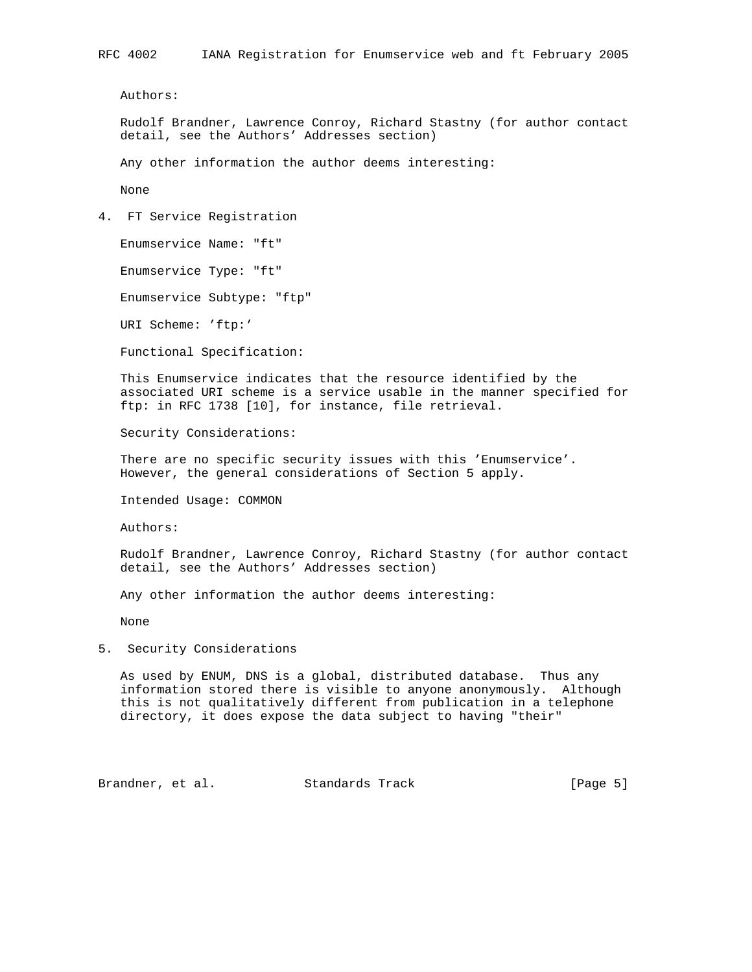Authors:

 Rudolf Brandner, Lawrence Conroy, Richard Stastny (for author contact detail, see the Authors' Addresses section)

Any other information the author deems interesting:

None

4. FT Service Registration

Enumservice Name: "ft"

Enumservice Type: "ft"

Enumservice Subtype: "ftp"

URI Scheme: 'ftp:'

Functional Specification:

 This Enumservice indicates that the resource identified by the associated URI scheme is a service usable in the manner specified for ftp: in RFC 1738 [10], for instance, file retrieval.

Security Considerations:

 There are no specific security issues with this 'Enumservice'. However, the general considerations of Section 5 apply.

Intended Usage: COMMON

Authors:

 Rudolf Brandner, Lawrence Conroy, Richard Stastny (for author contact detail, see the Authors' Addresses section)

Any other information the author deems interesting:

None

5. Security Considerations

 As used by ENUM, DNS is a global, distributed database. Thus any information stored there is visible to anyone anonymously. Although this is not qualitatively different from publication in a telephone directory, it does expose the data subject to having "their"

Brandner, et al. Standards Track [Page 5]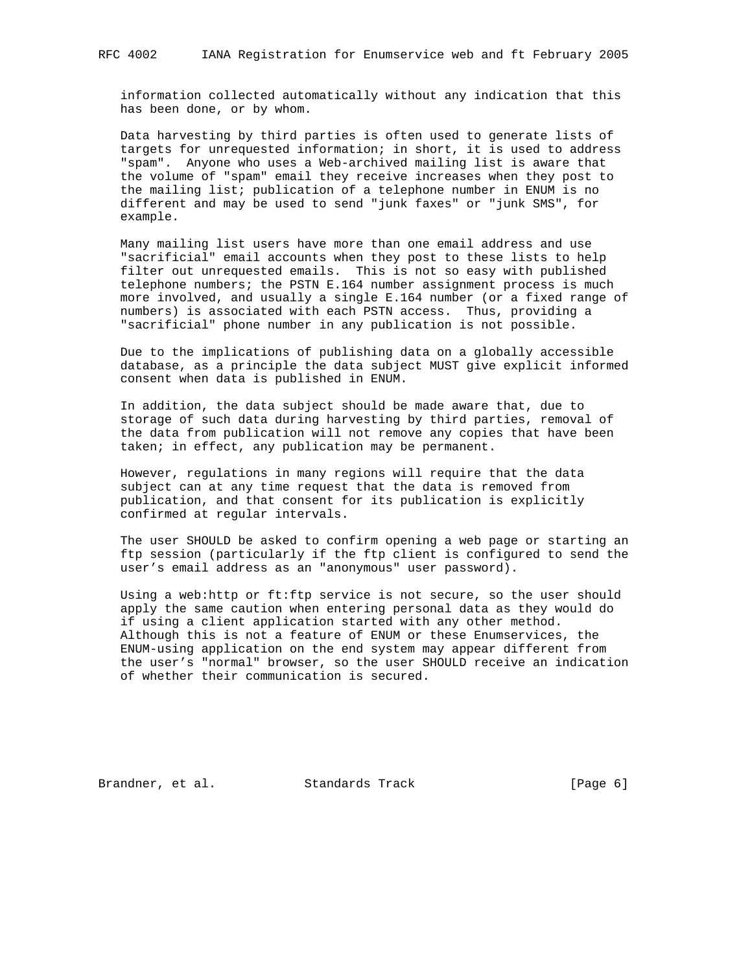information collected automatically without any indication that this has been done, or by whom.

 Data harvesting by third parties is often used to generate lists of targets for unrequested information; in short, it is used to address "spam". Anyone who uses a Web-archived mailing list is aware that the volume of "spam" email they receive increases when they post to the mailing list; publication of a telephone number in ENUM is no different and may be used to send "junk faxes" or "junk SMS", for example.

 Many mailing list users have more than one email address and use "sacrificial" email accounts when they post to these lists to help filter out unrequested emails. This is not so easy with published telephone numbers; the PSTN E.164 number assignment process is much more involved, and usually a single E.164 number (or a fixed range of numbers) is associated with each PSTN access. Thus, providing a "sacrificial" phone number in any publication is not possible.

 Due to the implications of publishing data on a globally accessible database, as a principle the data subject MUST give explicit informed consent when data is published in ENUM.

 In addition, the data subject should be made aware that, due to storage of such data during harvesting by third parties, removal of the data from publication will not remove any copies that have been taken; in effect, any publication may be permanent.

 However, regulations in many regions will require that the data subject can at any time request that the data is removed from publication, and that consent for its publication is explicitly confirmed at regular intervals.

 The user SHOULD be asked to confirm opening a web page or starting an ftp session (particularly if the ftp client is configured to send the user's email address as an "anonymous" user password).

 Using a web:http or ft:ftp service is not secure, so the user should apply the same caution when entering personal data as they would do if using a client application started with any other method. Although this is not a feature of ENUM or these Enumservices, the ENUM-using application on the end system may appear different from the user's "normal" browser, so the user SHOULD receive an indication of whether their communication is secured.

Brandner, et al. Standards Track [Page 6]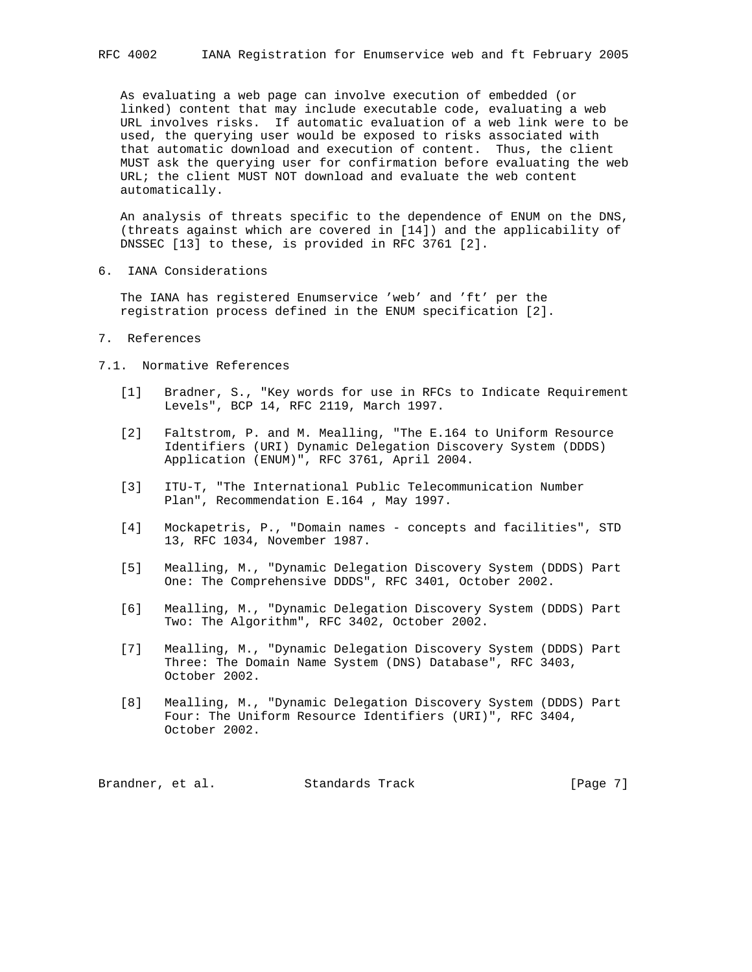As evaluating a web page can involve execution of embedded (or linked) content that may include executable code, evaluating a web URL involves risks. If automatic evaluation of a web link were to be used, the querying user would be exposed to risks associated with that automatic download and execution of content. Thus, the client MUST ask the querying user for confirmation before evaluating the web URL; the client MUST NOT download and evaluate the web content automatically.

 An analysis of threats specific to the dependence of ENUM on the DNS, (threats against which are covered in [14]) and the applicability of DNSSEC [13] to these, is provided in RFC 3761 [2].

6. IANA Considerations

 The IANA has registered Enumservice 'web' and 'ft' per the registration process defined in the ENUM specification [2].

7. References

## 7.1. Normative References

- [1] Bradner, S., "Key words for use in RFCs to Indicate Requirement Levels", BCP 14, RFC 2119, March 1997.
- [2] Faltstrom, P. and M. Mealling, "The E.164 to Uniform Resource Identifiers (URI) Dynamic Delegation Discovery System (DDDS) Application (ENUM)", RFC 3761, April 2004.
- [3] ITU-T, "The International Public Telecommunication Number Plan", Recommendation E.164 , May 1997.
- [4] Mockapetris, P., "Domain names concepts and facilities", STD 13, RFC 1034, November 1987.
- [5] Mealling, M., "Dynamic Delegation Discovery System (DDDS) Part One: The Comprehensive DDDS", RFC 3401, October 2002.
- [6] Mealling, M., "Dynamic Delegation Discovery System (DDDS) Part Two: The Algorithm", RFC 3402, October 2002.
- [7] Mealling, M., "Dynamic Delegation Discovery System (DDDS) Part Three: The Domain Name System (DNS) Database", RFC 3403, October 2002.
- [8] Mealling, M., "Dynamic Delegation Discovery System (DDDS) Part Four: The Uniform Resource Identifiers (URI)", RFC 3404, October 2002.

Brandner, et al. Standards Track [Page 7]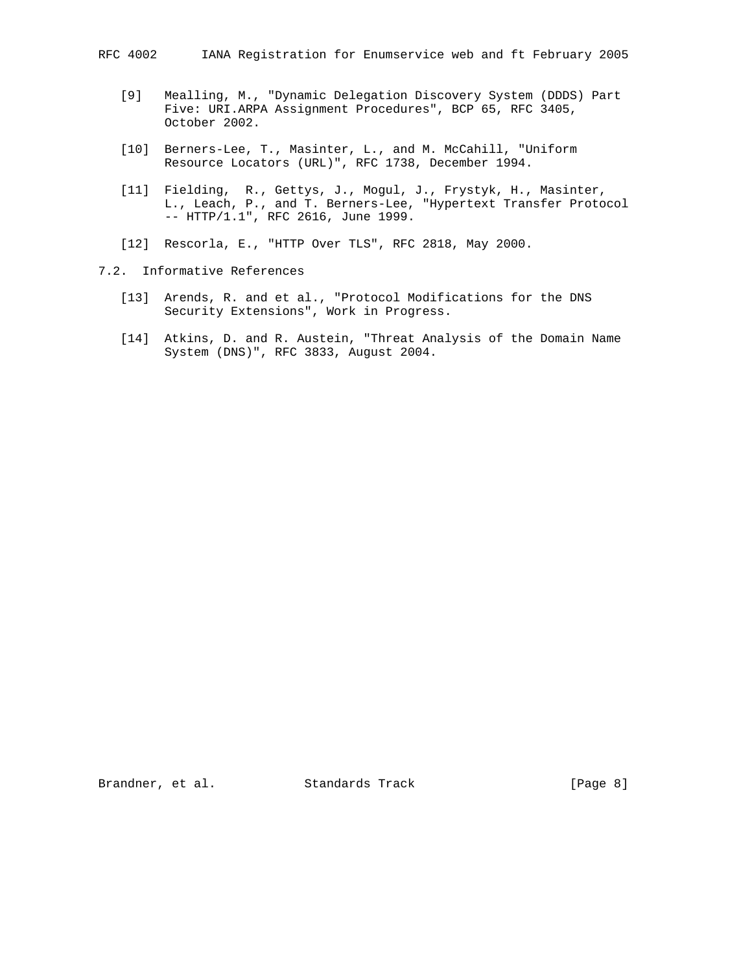- [9] Mealling, M., "Dynamic Delegation Discovery System (DDDS) Part Five: URI.ARPA Assignment Procedures", BCP 65, RFC 3405, October 2002.
- [10] Berners-Lee, T., Masinter, L., and M. McCahill, "Uniform Resource Locators (URL)", RFC 1738, December 1994.
- [11] Fielding, R., Gettys, J., Mogul, J., Frystyk, H., Masinter, L., Leach, P., and T. Berners-Lee, "Hypertext Transfer Protocol -- HTTP/1.1", RFC 2616, June 1999.
- [12] Rescorla, E., "HTTP Over TLS", RFC 2818, May 2000.
- 7.2. Informative References
	- [13] Arends, R. and et al., "Protocol Modifications for the DNS Security Extensions", Work in Progress.
	- [14] Atkins, D. and R. Austein, "Threat Analysis of the Domain Name System (DNS)", RFC 3833, August 2004.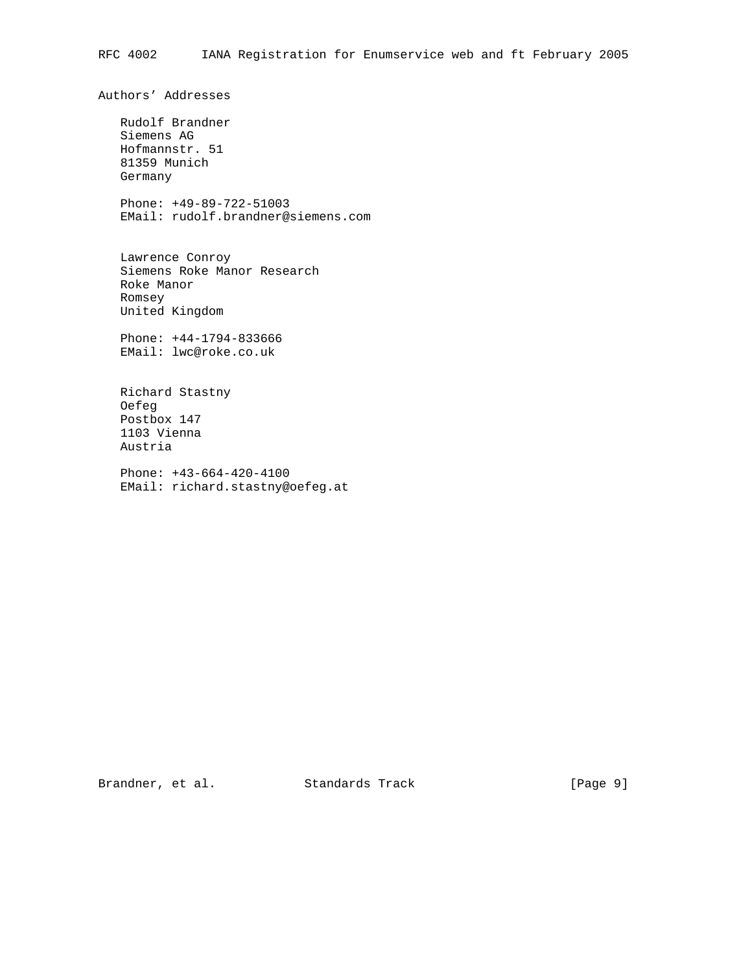Authors' Addresses

 Rudolf Brandner Siemens AG Hofmannstr. 51 81359 Munich Germany

 Phone: +49-89-722-51003 EMail: rudolf.brandner@siemens.com

 Lawrence Conroy Siemens Roke Manor Research Roke Manor Romsey United Kingdom

 Phone: +44-1794-833666 EMail: lwc@roke.co.uk

 Richard Stastny Oefeg Postbox 147 1103 Vienna Austria

 Phone: +43-664-420-4100 EMail: richard.stastny@oefeg.at

Brandner, et al. Standards Track [Page 9]